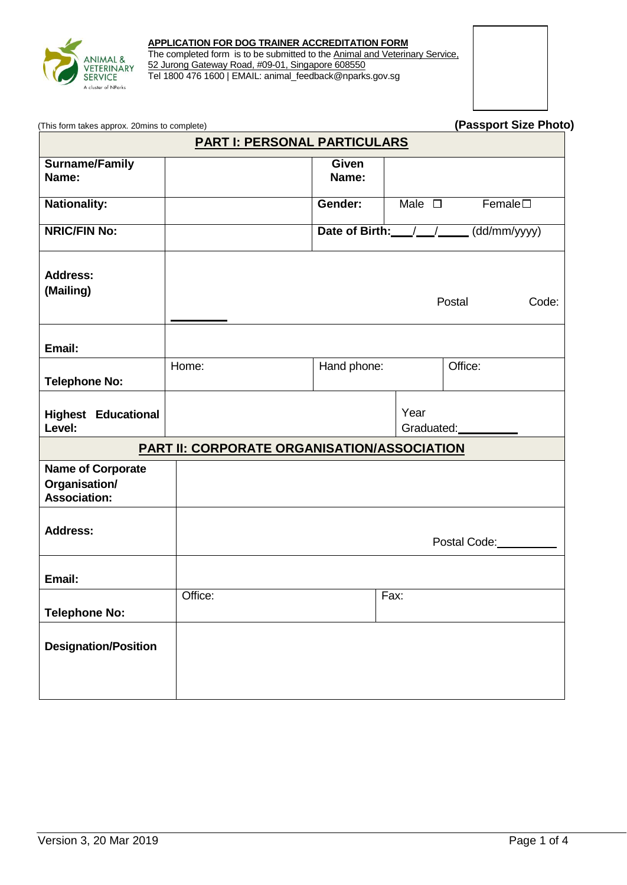

#### **APPLICATION FOR DOG TRAINER ACCREDITATION FORM**

The completed form is to be submitted to the **Animal and Veterinary Service**, 52 Jurong Gateway Road, #09-01, Singapore 608550 Tel 1800 476 1600 | EMAIL: animal\_feedback@nparks.gov.sg



(This form takes approx. 20mins to complete) **(Passport Size Photo)**

| <b>PART I: PERSONAL PARTICULARS</b>                       |                                                    |                                    |                    |                 |  |  |
|-----------------------------------------------------------|----------------------------------------------------|------------------------------------|--------------------|-----------------|--|--|
| <b>Surname/Family</b><br>Name:                            |                                                    | <b>Given</b><br>Name:              |                    |                 |  |  |
| <b>Nationality:</b>                                       |                                                    | Gender:                            | Male $\square$     | $Female\square$ |  |  |
| <b>NRIC/FIN No:</b>                                       |                                                    | Date of Birth: ///<br>(dd/mm/yyyy) |                    |                 |  |  |
| <b>Address:</b><br>(Mailing)                              |                                                    |                                    |                    | Postal<br>Code: |  |  |
| Email:                                                    |                                                    |                                    |                    |                 |  |  |
| <b>Telephone No:</b>                                      | Home:                                              | Hand phone:                        |                    | Office:         |  |  |
| <b>Highest Educational</b><br>Level:                      |                                                    |                                    | Year<br>Graduated: |                 |  |  |
|                                                           | <b>PART II: CORPORATE ORGANISATION/ASSOCIATION</b> |                                    |                    |                 |  |  |
| <b>Name of Corporate</b><br>Organisation/<br>Association: |                                                    |                                    |                    |                 |  |  |
| <b>Address:</b>                                           |                                                    |                                    |                    | Postal Code:    |  |  |
| Email:                                                    |                                                    |                                    |                    |                 |  |  |
| <b>Telephone No:</b>                                      | Office:                                            |                                    | Fax:               |                 |  |  |
| <b>Designation/Position</b>                               |                                                    |                                    |                    |                 |  |  |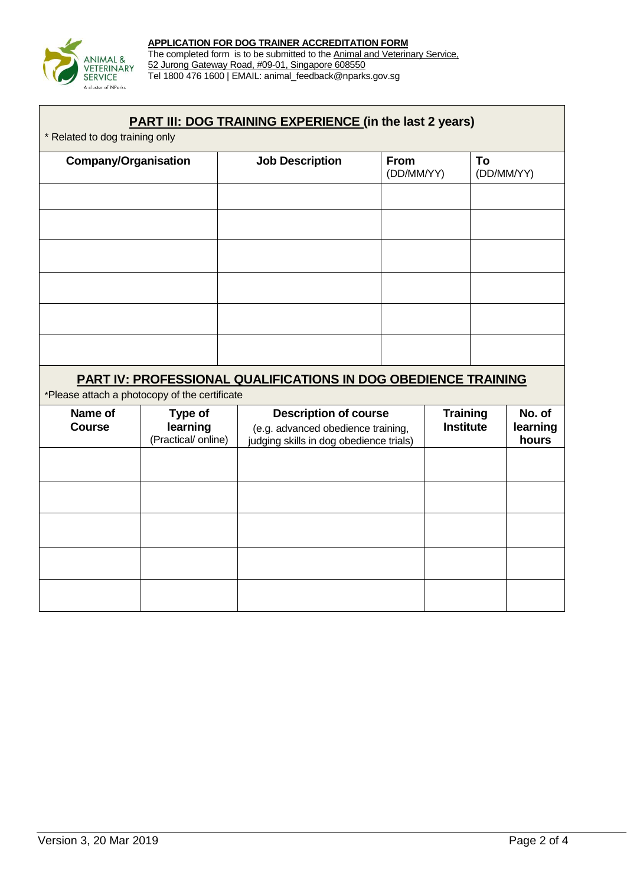

The completed form is to be submitted to the **Animal and Veterinary Service**, 52 Jurong Gateway Road, #09-01, Singapore 608550 Tel 1800 476 1600 | EMAIL: animal\_feedback@nparks.gov.sg

# **PART III: DOG TRAINING EXPERIENCE (in the last 2 years)**

\* Related to dog training only

| <b>Company/Organisation</b> | <b>Job Description</b> | From<br>(DD/MM/YY) | To<br>(DD/MM/YY) |
|-----------------------------|------------------------|--------------------|------------------|
|                             |                        |                    |                  |
|                             |                        |                    |                  |
|                             |                        |                    |                  |
|                             |                        |                    |                  |
|                             |                        |                    |                  |
|                             |                        |                    |                  |
|                             |                        |                    |                  |

## **PART IV: PROFESSIONAL QUALIFICATIONS IN DOG OBEDIENCE TRAINING**

\*Please attach a photocopy of the certificate

| Name of<br><b>Course</b> | Type of<br>learning<br>(Practical/ online) | <b>Description of course</b><br>(e.g. advanced obedience training,<br>judging skills in dog obedience trials) | <b>Training</b><br><b>Institute</b> | No. of<br>learning<br>hours |
|--------------------------|--------------------------------------------|---------------------------------------------------------------------------------------------------------------|-------------------------------------|-----------------------------|
|                          |                                            |                                                                                                               |                                     |                             |
|                          |                                            |                                                                                                               |                                     |                             |
|                          |                                            |                                                                                                               |                                     |                             |
|                          |                                            |                                                                                                               |                                     |                             |
|                          |                                            |                                                                                                               |                                     |                             |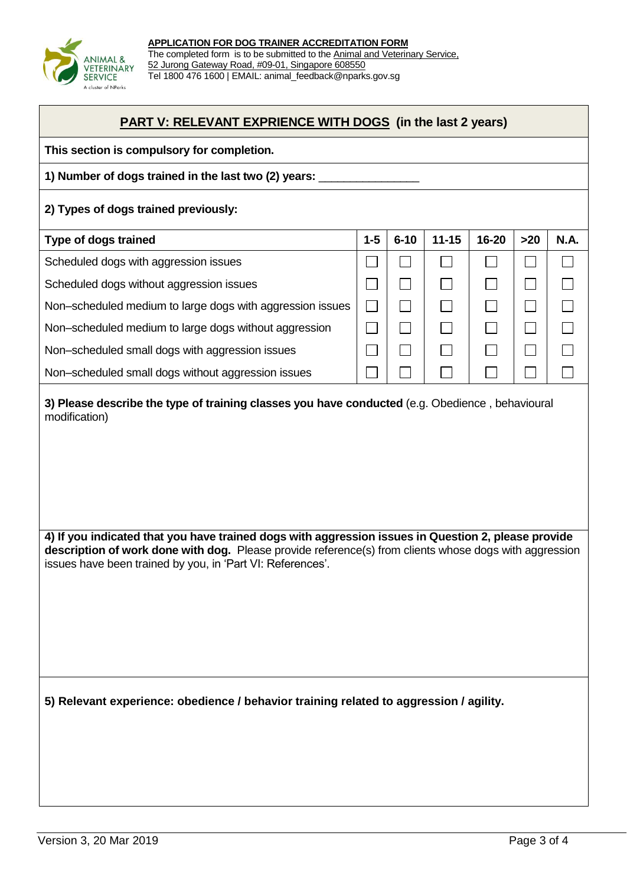

## **PART V: RELEVANT EXPRIENCE WITH DOGS (in the last 2 years)**

| This section is compulsory for completion. |  |
|--------------------------------------------|--|
|--------------------------------------------|--|

#### **1) Number of dogs trained in the last two (2) years:** \_\_\_\_\_\_\_\_\_\_\_\_\_\_\_\_

#### **2) Types of dogs trained previously:**

| <b>Type of dogs trained</b>                               | $1 - 5$ | $6 - 10$ | $11 - 15$ | 16-20 | >20 | <b>N.A.</b> |
|-----------------------------------------------------------|---------|----------|-----------|-------|-----|-------------|
| Scheduled dogs with aggression issues                     |         |          |           |       |     |             |
| Scheduled dogs without aggression issues                  |         |          |           |       |     |             |
| Non-scheduled medium to large dogs with aggression issues |         |          |           |       |     |             |
| Non-scheduled medium to large dogs without aggression     |         |          |           |       |     |             |
| Non-scheduled small dogs with aggression issues           |         |          |           |       |     |             |
| Non-scheduled small dogs without aggression issues        |         |          |           |       |     |             |

**3) Please describe the type of training classes you have conducted** (e.g. Obedience , behavioural modification)

**4) If you indicated that you have trained dogs with aggression issues in Question 2, please provide description of work done with dog.** Please provide reference(s) from clients whose dogs with aggression issues have been trained by you, in 'Part VI: References'.

**5) Relevant experience: obedience / behavior training related to aggression / agility.**